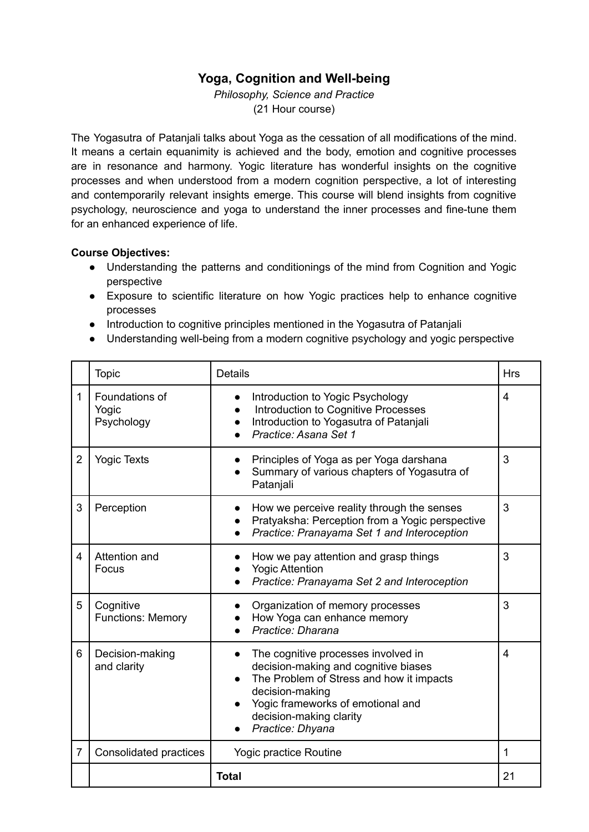# **Yoga, Cognition and Well-being**

*Philosophy, Science and Practice* (21 Hour course)

The Yogasutra of Patanjali talks about Yoga as the cessation of all modifications of the mind. It means a certain equanimity is achieved and the body, emotion and cognitive processes are in resonance and harmony. Yogic literature has wonderful insights on the cognitive processes and when understood from a modern cognition perspective, a lot of interesting and contemporarily relevant insights emerge. This course will blend insights from cognitive psychology, neuroscience and yoga to understand the inner processes and fine-tune them for an enhanced experience of life.

#### **Course Objectives:**

- Understanding the patterns and conditionings of the mind from Cognition and Yogic perspective
- Exposure to scientific literature on how Yogic practices help to enhance cognitive processes
- Introduction to cognitive principles mentioned in the Yogasutra of Patanjali
- Understanding well-being from a modern cognitive psychology and yogic perspective

|                | <b>Topic</b>                          | <b>Details</b>                                                                                                                                                                                                                 | <b>Hrs</b> |
|----------------|---------------------------------------|--------------------------------------------------------------------------------------------------------------------------------------------------------------------------------------------------------------------------------|------------|
| 1              | Foundations of<br>Yogic<br>Psychology | Introduction to Yogic Psychology<br>$\bullet$<br>Introduction to Cognitive Processes<br>Introduction to Yogasutra of Patanjali<br>Practice: Asana Set 1                                                                        | 4          |
| $\overline{2}$ | <b>Yogic Texts</b>                    | Principles of Yoga as per Yoga darshana<br>Summary of various chapters of Yogasutra of<br>Patanjali                                                                                                                            | 3          |
| 3              | Perception                            | How we perceive reality through the senses<br>Pratyaksha: Perception from a Yogic perspective<br>Practice: Pranayama Set 1 and Interoception                                                                                   | 3          |
| 4              | Attention and<br>Focus                | How we pay attention and grasp things<br><b>Yogic Attention</b><br>Practice: Pranayama Set 2 and Interoception                                                                                                                 | 3          |
| 5              | Cognitive<br><b>Functions: Memory</b> | Organization of memory processes<br>How Yoga can enhance memory<br>Practice: Dharana                                                                                                                                           | 3          |
| 6              | Decision-making<br>and clarity        | The cognitive processes involved in<br>decision-making and cognitive biases<br>The Problem of Stress and how it impacts<br>decision-making<br>Yogic frameworks of emotional and<br>decision-making clarity<br>Practice: Dhyana | 4          |
| $\overline{7}$ | Consolidated practices                | Yogic practice Routine                                                                                                                                                                                                         | 1          |
|                |                                       | <b>Total</b>                                                                                                                                                                                                                   | 21         |